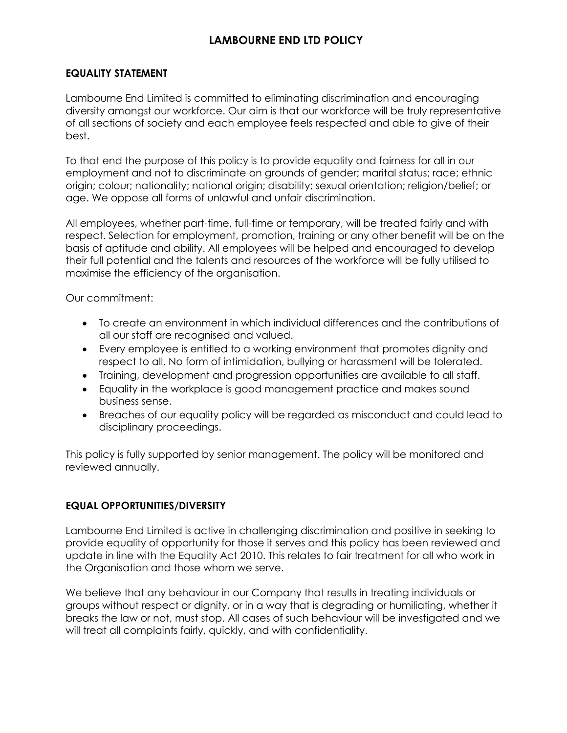# **EQUALITY STATEMENT**

Lambourne End Limited is committed to eliminating discrimination and encouraging diversity amongst our workforce. Our aim is that our workforce will be truly representative of all sections of society and each employee feels respected and able to give of their best.

To that end the purpose of this policy is to provide equality and fairness for all in our employment and not to discriminate on grounds of gender; marital status; race; ethnic origin; colour; nationality; national origin; disability; sexual orientation; religion/belief; or age. We oppose all forms of unlawful and unfair discrimination.

All employees, whether part-time, full-time or temporary, will be treated fairly and with respect. Selection for employment, promotion, training or any other benefit will be on the basis of aptitude and ability. All employees will be helped and encouraged to develop their full potential and the talents and resources of the workforce will be fully utilised to maximise the efficiency of the organisation.

Our commitment:

- To create an environment in which individual differences and the contributions of all our staff are recognised and valued.
- Every employee is entitled to a working environment that promotes dignity and respect to all. No form of intimidation, bullying or harassment will be tolerated.
- Training, development and progression opportunities are available to all staff.
- Equality in the workplace is good management practice and makes sound business sense.
- Breaches of our equality policy will be regarded as misconduct and could lead to disciplinary proceedings.

This policy is fully supported by senior management. The policy will be monitored and reviewed annually.

# **EQUAL OPPORTUNITIES/DIVERSITY**

Lambourne End Limited is active in challenging discrimination and positive in seeking to provide equality of opportunity for those it serves and this policy has been reviewed and update in line with the Equality Act 2010. This relates to fair treatment for all who work in the Organisation and those whom we serve.

We believe that any behaviour in our Company that results in treating individuals or groups without respect or dignity, or in a way that is degrading or humiliating, whether it breaks the law or not, must stop. All cases of such behaviour will be investigated and we will treat all complaints fairly, quickly, and with confidentiality.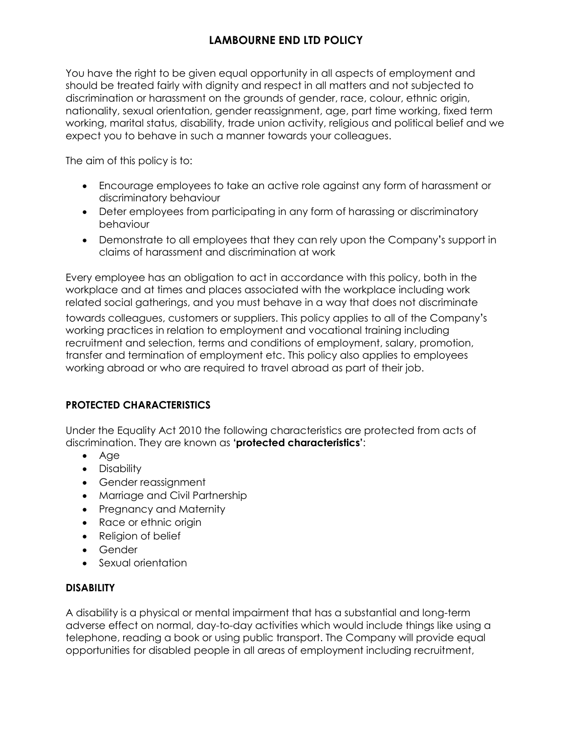You have the right to be given equal opportunity in all aspects of employment and should be treated fairly with dignity and respect in all matters and not subjected to discrimination or harassment on the grounds of gender, race, colour, ethnic origin, nationality, sexual orientation, gender reassignment, age, part time working, fixed term working, marital status, disability, trade union activity, religious and political belief and we expect you to behave in such a manner towards your colleagues.

The aim of this policy is to:

- Encourage employees to take an active role against any form of harassment or discriminatory behaviour
- Deter employees from participating in any form of harassing or discriminatory behaviour
- Demonstrate to all employees that they can rely upon the Company's support in claims of harassment and discrimination at work

Every employee has an obligation to act in accordance with this policy, both in the workplace and at times and places associated with the workplace including work related social gatherings, and you must behave in a way that does not discriminate

towards colleagues, customers or suppliers. This policy applies to all of the Company's working practices in relation to employment and vocational training including recruitment and selection, terms and conditions of employment, salary, promotion, transfer and termination of employment etc. This policy also applies to employees working abroad or who are required to travel abroad as part of their job.

# **PROTECTED CHARACTERISTICS**

Under the Equality Act 2010 the following characteristics are protected from acts of discrimination. They are known as **'protected characteristics'**:

- Age
- Disability
- Gender reassignment
- Marriage and Civil Partnership
- Pregnancy and Maternity
- Race or ethnic origin
- Religion of belief
- Gender
- Sexual orientation

# **DISABILITY**

A disability is a physical or mental impairment that has a substantial and long-term adverse effect on normal, day-to-day activities which would include things like using a telephone, reading a book or using public transport. The Company will provide equal opportunities for disabled people in all areas of employment including recruitment,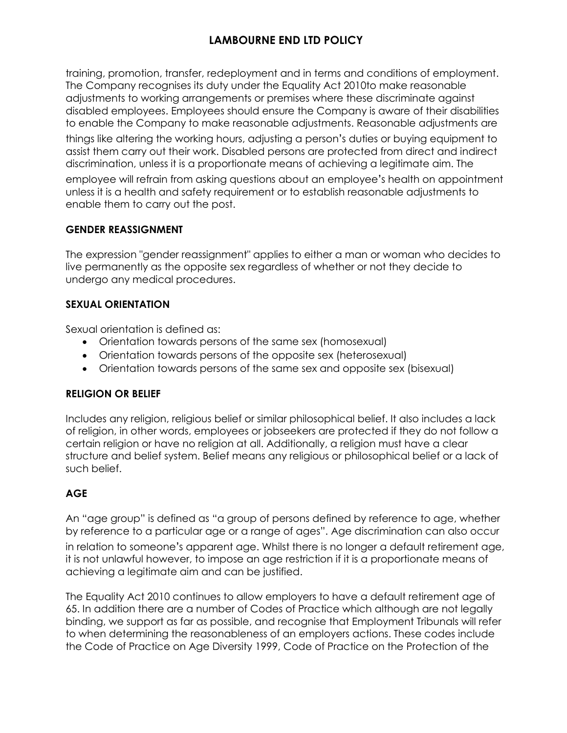training, promotion, transfer, redeployment and in terms and conditions of employment. The Company recognises its duty under the Equality Act 2010to make reasonable adjustments to working arrangements or premises where these discriminate against disabled employees. Employees should ensure the Company is aware of their disabilities to enable the Company to make reasonable adjustments. Reasonable adjustments are

things like altering the working hours, adjusting a person's duties or buying equipment to assist them carry out their work. Disabled persons are protected from direct and indirect discrimination, unless it is a proportionate means of achieving a legitimate aim. The

employee will refrain from asking questions about an employee's health on appointment unless it is a health and safety requirement or to establish reasonable adjustments to enable them to carry out the post.

# **GENDER REASSIGNMENT**

The expression "gender reassignment" applies to either a man or woman who decides to live permanently as the opposite sex regardless of whether or not they decide to undergo any medical procedures.

# **SEXUAL ORIENTATION**

Sexual orientation is defined as:

- Orientation towards persons of the same sex (homosexual)
- Orientation towards persons of the opposite sex (heterosexual)
- Orientation towards persons of the same sex and opposite sex (bisexual)

# **RELIGION OR BELIEF**

Includes any religion, religious belief or similar philosophical belief. It also includes a lack of religion, in other words, employees or jobseekers are protected if they do not follow a certain religion or have no religion at all. Additionally, a religion must have a clear structure and belief system. Belief means any religious or philosophical belief or a lack of such belief.

# **AGE**

An "age group" is defined as "a group of persons defined by reference to age, whether by reference to a particular age or a range of ages". Age discrimination can also occur

in relation to someone's apparent age. Whilst there is no longer a default retirement age, it is not unlawful however, to impose an age restriction if it is a proportionate means of achieving a legitimate aim and can be justified.

The Equality Act 2010 continues to allow employers to have a default retirement age of 65. In addition there are a number of Codes of Practice which although are not legally binding, we support as far as possible, and recognise that Employment Tribunals will refer to when determining the reasonableness of an employers actions. These codes include the Code of Practice on Age Diversity 1999, Code of Practice on the Protection of the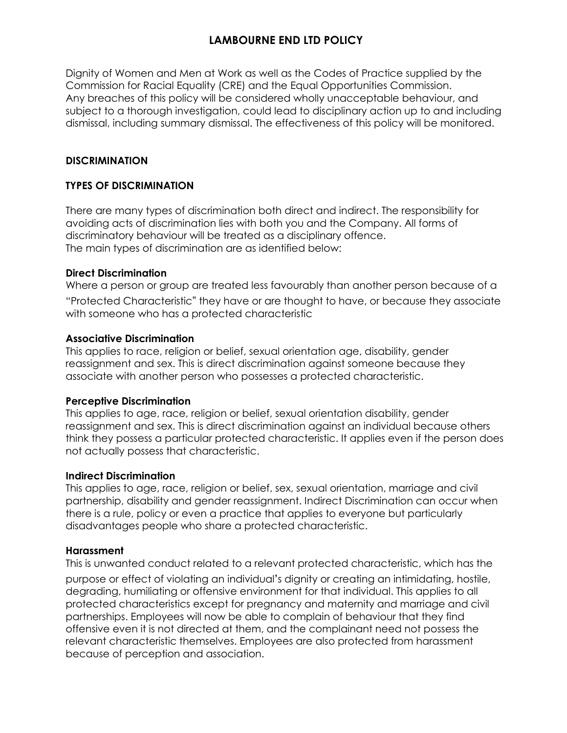Dignity of Women and Men at Work as well as the Codes of Practice supplied by the Commission for Racial Equality (CRE) and the Equal Opportunities Commission. Any breaches of this policy will be considered wholly unacceptable behaviour, and subject to a thorough investigation, could lead to disciplinary action up to and including dismissal, including summary dismissal. The effectiveness of this policy will be monitored.

# **DISCRIMINATION**

### **TYPES OF DISCRIMINATION**

There are many types of discrimination both direct and indirect. The responsibility for avoiding acts of discrimination lies with both you and the Company. All forms of discriminatory behaviour will be treated as a disciplinary offence. The main types of discrimination are as identified below:

#### **Direct Discrimination**

Where a person or group are treated less favourably than another person because of a "Protected Characteristic" they have or are thought to have, or because they associate with someone who has a protected characteristic

#### **Associative Discrimination**

This applies to race, religion or belief, sexual orientation age, disability, gender reassignment and sex. This is direct discrimination against someone because they associate with another person who possesses a protected characteristic.

#### **Perceptive Discrimination**

This applies to age, race, religion or belief, sexual orientation disability, gender reassignment and sex. This is direct discrimination against an individual because others think they possess a particular protected characteristic. It applies even if the person does not actually possess that characteristic.

#### **Indirect Discrimination**

This applies to age, race, religion or belief, sex, sexual orientation, marriage and civil partnership, disability and gender reassignment. Indirect Discrimination can occur when there is a rule, policy or even a practice that applies to everyone but particularly disadvantages people who share a protected characteristic.

#### **Harassment**

This is unwanted conduct related to a relevant protected characteristic, which has the purpose or effect of violating an individual's dignity or creating an intimidating, hostile, degrading, humiliating or offensive environment for that individual. This applies to all protected characteristics except for pregnancy and maternity and marriage and civil partnerships. Employees will now be able to complain of behaviour that they find offensive even it is not directed at them, and the complainant need not possess the relevant characteristic themselves. Employees are also protected from harassment because of perception and association.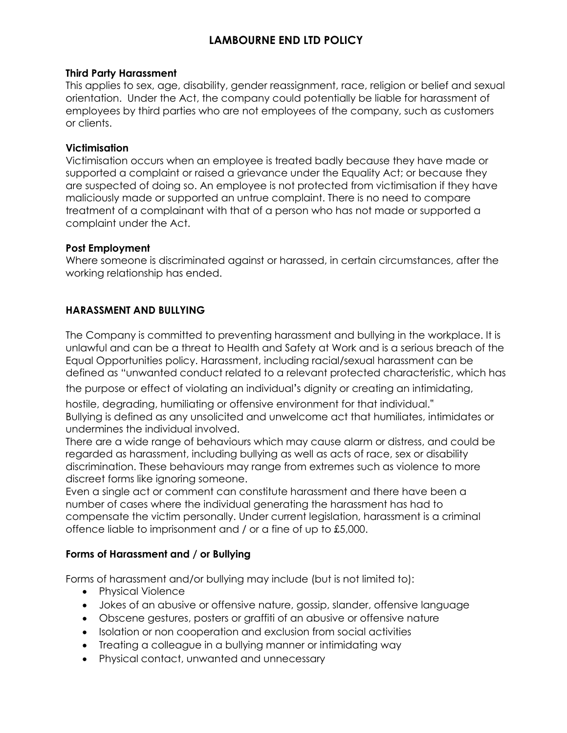#### **Third Party Harassment**

This applies to sex, age, disability, gender reassignment, race, religion or belief and sexual orientation. Under the Act, the company could potentially be liable for harassment of employees by third parties who are not employees of the company, such as customers or clients.

### **Victimisation**

Victimisation occurs when an employee is treated badly because they have made or supported a complaint or raised a grievance under the Equality Act; or because they are suspected of doing so. An employee is not protected from victimisation if they have maliciously made or supported an untrue complaint. There is no need to compare treatment of a complainant with that of a person who has not made or supported a complaint under the Act.

### **Post Employment**

Where someone is discriminated against or harassed, in certain circumstances, after the working relationship has ended.

# **HARASSMENT AND BULLYING**

The Company is committed to preventing harassment and bullying in the workplace. It is unlawful and can be a threat to Health and Safety at Work and is a serious breach of the Equal Opportunities policy. Harassment, including racial/sexual harassment can be defined as "unwanted conduct related to a relevant protected characteristic, which has

the purpose or effect of violating an individual's dignity or creating an intimidating,

hostile, degrading, humiliating or offensive environment for that individual." Bullying is defined as any unsolicited and unwelcome act that humiliates, intimidates or undermines the individual involved.

There are a wide range of behaviours which may cause alarm or distress, and could be regarded as harassment, including bullying as well as acts of race, sex or disability discrimination. These behaviours may range from extremes such as violence to more discreet forms like ignoring someone.

Even a single act or comment can constitute harassment and there have been a number of cases where the individual generating the harassment has had to compensate the victim personally. Under current legislation, harassment is a criminal offence liable to imprisonment and / or a fine of up to £5,000.

# **Forms of Harassment and / or Bullying**

Forms of harassment and/or bullying may include (but is not limited to):

- Physical Violence
- Jokes of an abusive or offensive nature, gossip, slander, offensive language
- Obscene gestures, posters or graffiti of an abusive or offensive nature
- Isolation or non cooperation and exclusion from social activities
- Treating a colleague in a bullying manner or intimidating way
- Physical contact, unwanted and unnecessary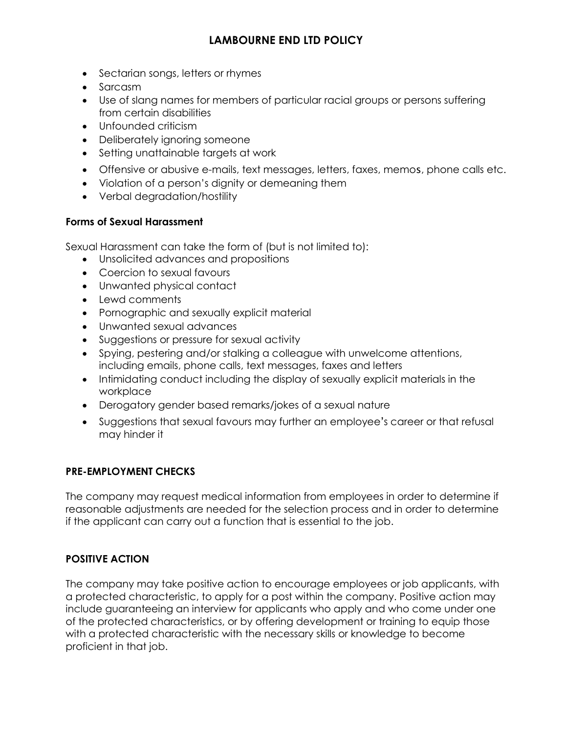- Sectarian songs, letters or rhymes
- Sarcasm
- Use of slang names for members of particular racial groups or persons suffering from certain disabilities
- Unfounded criticism
- Deliberately ignoring someone
- Setting unattainable targets at work
- Offensive or abusive e-mails, text messages, letters, faxes, memos, phone calls etc.
- Violation of a person's dignity or demeaning them
- Verbal degradation/hostility

# **Forms of Sexual Harassment**

Sexual Harassment can take the form of (but is not limited to):

- Unsolicited advances and propositions
- Coercion to sexual favours
- Unwanted physical contact
- Lewd comments
- Pornographic and sexually explicit material
- Unwanted sexual advances
- Suggestions or pressure for sexual activity
- Spying, pestering and/or stalking a colleague with unwelcome attentions, including emails, phone calls, text messages, faxes and letters
- Intimidating conduct including the display of sexually explicit materials in the workplace
- Derogatory gender based remarks/jokes of a sexual nature
- Suggestions that sexual favours may further an employee's career or that refusal may hinder it

# **PRE-EMPLOYMENT CHECKS**

The company may request medical information from employees in order to determine if reasonable adjustments are needed for the selection process and in order to determine if the applicant can carry out a function that is essential to the job.

# **POSITIVE ACTION**

The company may take positive action to encourage employees or job applicants, with a protected characteristic, to apply for a post within the company. Positive action may include guaranteeing an interview for applicants who apply and who come under one of the protected characteristics, or by offering development or training to equip those with a protected characteristic with the necessary skills or knowledge to become proficient in that job.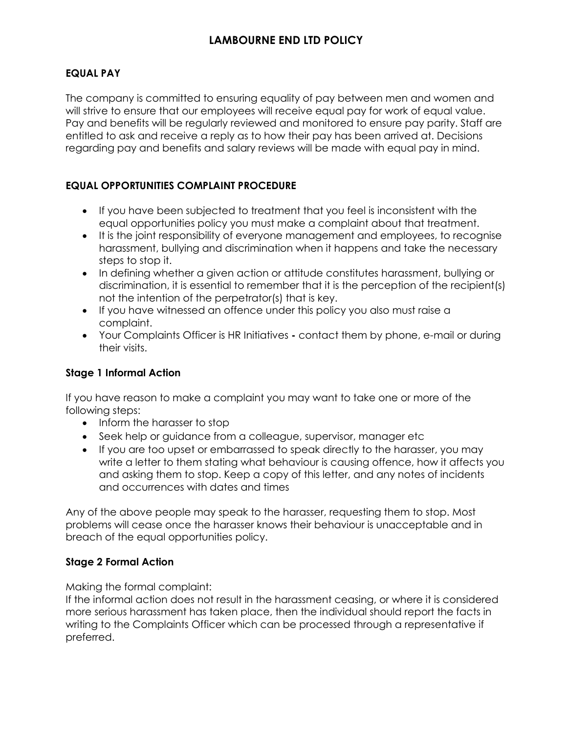# **EQUAL PAY**

The company is committed to ensuring equality of pay between men and women and will strive to ensure that our employees will receive equal pay for work of equal value. Pay and benefits will be regularly reviewed and monitored to ensure pay parity. Staff are entitled to ask and receive a reply as to how their pay has been arrived at. Decisions regarding pay and benefits and salary reviews will be made with equal pay in mind.

# **EQUAL OPPORTUNITIES COMPLAINT PROCEDURE**

- If you have been subjected to treatment that you feel is inconsistent with the equal opportunities policy you must make a complaint about that treatment.
- It is the joint responsibility of everyone management and employees, to recognise harassment, bullying and discrimination when it happens and take the necessary steps to stop it.
- In defining whether a given action or attitude constitutes harassment, bullying or discrimination, it is essential to remember that it is the perception of the recipient(s) not the intention of the perpetrator(s) that is key.
- If you have witnessed an offence under this policy you also must raise a complaint.
- Your Complaints Officer is HR Initiatives **-** contact them by phone, e-mail or during their visits.

# **Stage 1 Informal Action**

If you have reason to make a complaint you may want to take one or more of the following steps:

- Inform the harasser to stop
- Seek help or guidance from a colleague, supervisor, manager etc
- If you are too upset or embarrassed to speak directly to the harasser, you may write a letter to them stating what behaviour is causing offence, how it affects you and asking them to stop. Keep a copy of this letter, and any notes of incidents and occurrences with dates and times

Any of the above people may speak to the harasser, requesting them to stop. Most problems will cease once the harasser knows their behaviour is unacceptable and in breach of the equal opportunities policy.

# **Stage 2 Formal Action**

Making the formal complaint:

If the informal action does not result in the harassment ceasing, or where it is considered more serious harassment has taken place, then the individual should report the facts in writing to the Complaints Officer which can be processed through a representative if preferred.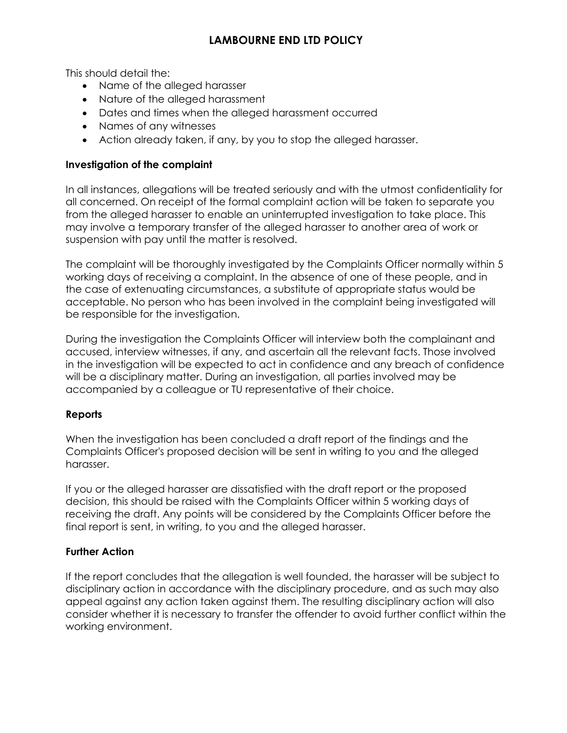This should detail the:

- Name of the alleged harasser
- Nature of the alleged harassment
- Dates and times when the alleged harassment occurred
- Names of any witnesses
- Action already taken, if any, by you to stop the alleged harasser.

# **Investigation of the complaint**

In all instances, allegations will be treated seriously and with the utmost confidentiality for all concerned. On receipt of the formal complaint action will be taken to separate you from the alleged harasser to enable an uninterrupted investigation to take place. This may involve a temporary transfer of the alleged harasser to another area of work or suspension with pay until the matter is resolved.

The complaint will be thoroughly investigated by the Complaints Officer normally within 5 working days of receiving a complaint. In the absence of one of these people, and in the case of extenuating circumstances, a substitute of appropriate status would be acceptable. No person who has been involved in the complaint being investigated will be responsible for the investigation.

During the investigation the Complaints Officer will interview both the complainant and accused, interview witnesses, if any, and ascertain all the relevant facts. Those involved in the investigation will be expected to act in confidence and any breach of confidence will be a disciplinary matter. During an investigation, all parties involved may be accompanied by a colleague or TU representative of their choice.

# **Reports**

When the investigation has been concluded a draft report of the findings and the Complaints Officer's proposed decision will be sent in writing to you and the alleged harasser.

If you or the alleged harasser are dissatisfied with the draft report or the proposed decision, this should be raised with the Complaints Officer within 5 working days of receiving the draft. Any points will be considered by the Complaints Officer before the final report is sent, in writing, to you and the alleged harasser.

# **Further Action**

If the report concludes that the allegation is well founded, the harasser will be subject to disciplinary action in accordance with the disciplinary procedure, and as such may also appeal against any action taken against them. The resulting disciplinary action will also consider whether it is necessary to transfer the offender to avoid further conflict within the working environment.